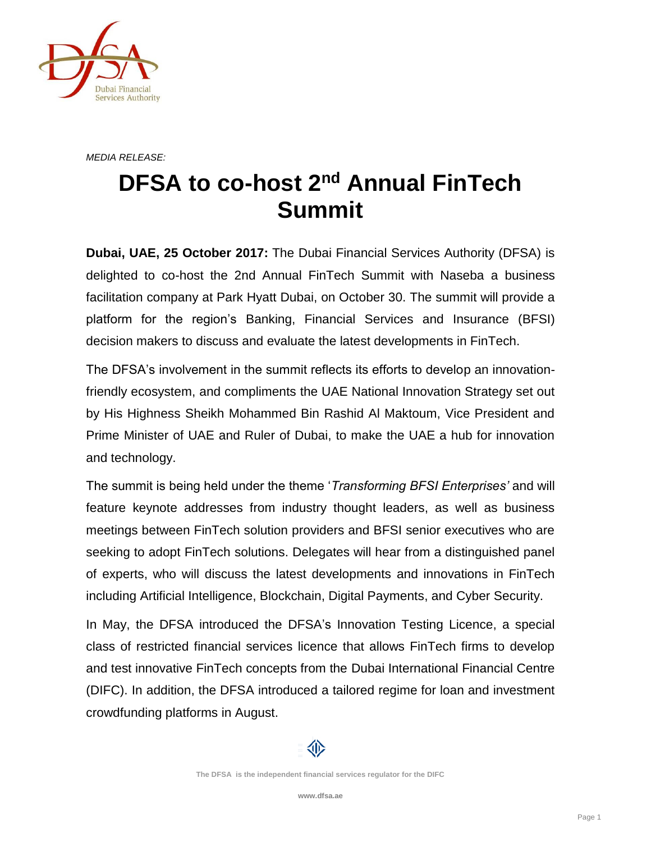

*MEDIA RELEASE:*

## **DFSA to co-host 2nd Annual FinTech Summit**

**Dubai, UAE, 25 October 2017:** The Dubai Financial Services Authority (DFSA) is delighted to co-host the 2nd Annual FinTech Summit with Naseba a business facilitation company at Park Hyatt Dubai, on October 30. The summit will provide a platform for the region's Banking, Financial Services and Insurance (BFSI) decision makers to discuss and evaluate the latest developments in FinTech.

The DFSA's involvement in the summit reflects its efforts to develop an innovationfriendly ecosystem, and compliments the UAE National Innovation Strategy set out by His Highness Sheikh Mohammed Bin Rashid Al Maktoum, Vice President and Prime Minister of UAE and Ruler of Dubai, to make the UAE a hub for innovation and technology.

The summit is being held under the theme '*Transforming BFSI Enterprises'* and will feature keynote addresses from industry thought leaders, as well as business meetings between FinTech solution providers and BFSI senior executives who are seeking to adopt FinTech solutions. Delegates will hear from a distinguished panel of experts, who will discuss the latest developments and innovations in FinTech including Artificial Intelligence, Blockchain, Digital Payments, and Cyber Security.

In May, the DFSA introduced the DFSA's Innovation Testing Licence, a special class of restricted financial services licence that allows FinTech firms to develop and test innovative FinTech concepts from the Dubai International Financial Centre (DIFC). In addition, the DFSA introduced a tailored regime for loan and investment crowdfunding platforms in August.



**The DFSA is the independent financial services regulator for the DIFC**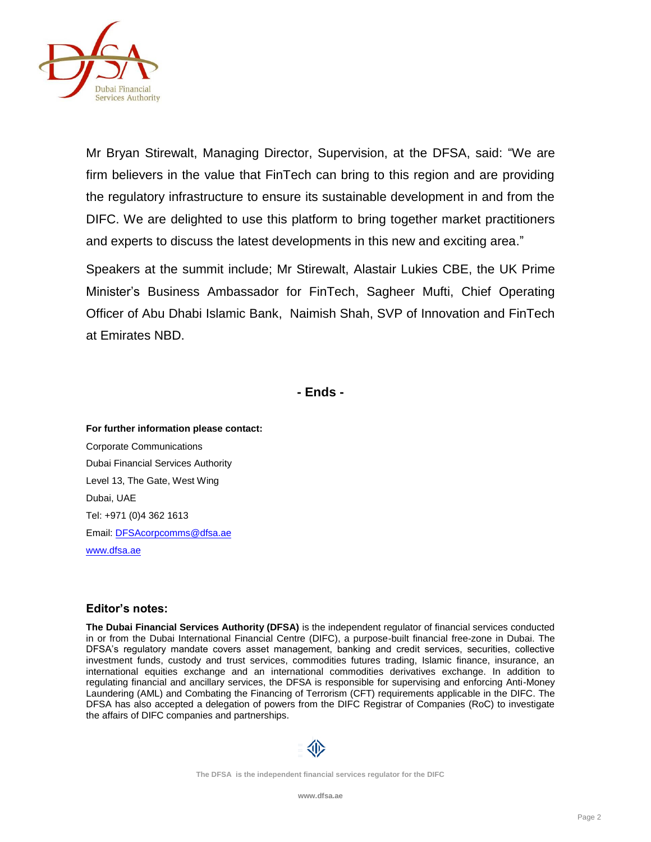

Mr Bryan Stirewalt, Managing Director, Supervision, at the DFSA, said: "We are firm believers in the value that FinTech can bring to this region and are providing the regulatory infrastructure to ensure its sustainable development in and from the DIFC. We are delighted to use this platform to bring together market practitioners and experts to discuss the latest developments in this new and exciting area."

Speakers at the summit include; Mr Stirewalt, Alastair Lukies CBE, the UK Prime Minister's Business Ambassador for FinTech, Sagheer Mufti, Chief Operating Officer of Abu Dhabi Islamic Bank, Naimish Shah, SVP of Innovation and FinTech at Emirates NBD.

**- Ends -**

**For further information please contact:** Corporate Communications Dubai Financial Services Authority Level 13, The Gate, West Wing Dubai, UAE Tel: +971 (0)4 362 1613 Email[: DFSAcorpcomms@dfsa.ae](mailto:DFSAcorpcomms@dfsa.ae) [www.dfsa.ae](http://www.dfsa.ae/)

## **Editor's notes:**

**The Dubai Financial Services Authority (DFSA)** is the independent regulator of financial services conducted in or from the Dubai International Financial Centre (DIFC), a purpose-built financial free-zone in Dubai. The DFSA's regulatory mandate covers asset management, banking and credit services, securities, collective investment funds, custody and trust services, commodities futures trading, Islamic finance, insurance, an international equities exchange and an international commodities derivatives exchange. In addition to regulating financial and ancillary services, the DFSA is responsible for supervising and enforcing Anti-Money Laundering (AML) and Combating the Financing of Terrorism (CFT) requirements applicable in the DIFC. The DFSA has also accepted a delegation of powers from the DIFC Registrar of Companies (RoC) to investigate the affairs of DIFC companies and partnerships.



**The DFSA is the independent financial services regulator for the DIFC**